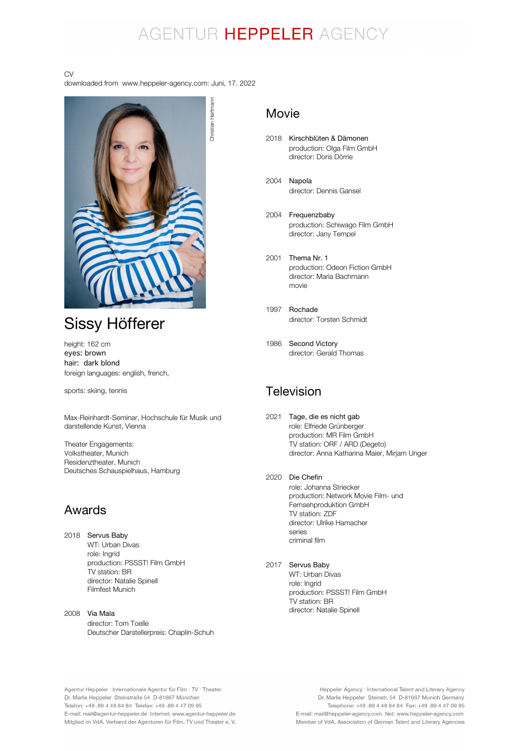## AGENTUR HEPPELER AGENCY

#### CV

downloaded from www.heppeler-agency.com: Juni, 17. 2022



## Sissy Höfferer

height: 162 cm eyes: brown hair: dark blond foreign languages: english, french,

sports: skiing, tennis

Max-Reinhardt-Seminar, Hochschule für Musik und darstellende Kunst, Vienna

Theater Engagements: Volkstheater, Munich Residenztheater, Munich Deutsches Schauspielhaus, Hamburg

### Awards

2018 Servus Baby WT: Urban Divas role: Ingrid production: PSSST! Film GmbH TV station: BR director: Natalie Spinell Filmfest Munich

2008 Via Mala director: Tom Toelle Deutscher Darstellerpreis: Chaplin-Schuh

### Movie

- 2018 Kirschblüten & Dämonen production: Olga Film GmbH director: Doris Dörrie
- 2004 Napola director: Dennis Gansel
- 2004 Frequenzbaby production: Schiwago Film GmbH director: Jany Tempel
- 2001 Thema Nr. 1 production: Odeon Fiction GmbH director: Maria Bachmann movie
- 1997 Rochade director: Torsten Schmidt
- 1986 Second Victory director: Gerald Thomas

### Television

- 2021 Tage, die es nicht gab role: Elfriede Grünberger production: MR Film GmbH TV station: ORF / ARD (Degeto) director: Anna Katharina Maier, Mirjam Unger
- 2020 Die Chefin role: Johanna Striecker production: Network Movie Film- und Fernsehproduktion GmbH TV station: ZDF director: Ulrike Hamacher series criminal film
- 2017 Servus Baby

WT: Urban Divas role: Ingrid production: PSSST! Film GmbH .<br>TV station: BR director: Natalie Spinell

Agentur Heppeler · Internationale Agentur für Film · TV · Theater Dr. Marlis Heppeler Steinstraße 54 D-81667 München Telefon: +49.89 4 48 84 84 Telefax: +49.89 4 47 09 95 E-mail: mail@agentur-heppeler.de Internet: www.agentur-heppeler.de Mitglied im VdA, Verband der Agenturen für Film, TV und Theater e. V.

Heppeler Agency · International Talent and Literary Agency Dr. Marlis Heppeler Steinstr. 54 D-81667 Munich Germany Telephone: +49 .89 4 48 84 84 Fax: +49 .89 4 47 09 95 E-mail: mail@heppeler-agency.com Net: www.heppeler-agency.com Member of VdA, Association of German Talent and Literary Agencies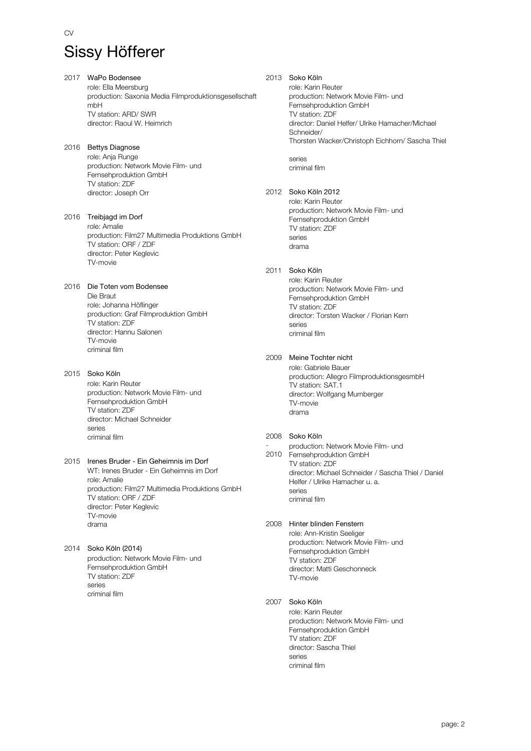CV

2017 WaPo Bodensee role: Ella Meersburg production: Saxonia Media Filmproduktionsgesellschaft mbH TV station: ARD/ SWR director: Raoul W. Heimrich

2016 Bettys Diagnose role: Anja Runge production: Network Movie Film- und Fernsehproduktion GmbH TV station: ZDF director: Joseph Orr

2016 Treibjagd im Dorf role: Amalie production: Film27 Multimedia Produktions GmbH TV station: ORF / ZDF director: Peter Keglevic TV-movie

2016 Die Toten vom Bodensee Die Braut role: Johanna Höflinger production: Graf Filmproduktion GmbH TV station: ZDF director: Hannu Salonen TV-movie criminal film

2015 Soko Köln role: Karin Reuter production: Network Movie Film- und Fernsehproduktion GmbH TV station: ZDF director: Michael Schneider series criminal film

#### 2015 Irenes Bruder - Ein Geheimnis im Dorf WT: Irenes Bruder - Ein Geheimnis im Dorf role: Amalie production: Film27 Multimedia Produktions GmbH TV station: ORF / ZDF director: Peter Keglevic TV-movie drama

#### 2014 Soko Köln (2014) production: Network Movie Film- und Fernsehproduktion GmbH TV station: ZDF series criminal film

2013 Soko Köln role: Karin Reuter production: Network Movie Film- und Fernsehproduktion GmbH TV station: ZDF director: Daniel Helfer/ Ulrike Hamacher/Michael Schneider/ Thorsten Wacker/Christoph Eichhorn/ Sascha Thiel series

criminal film

### 2012 Soko Köln 2012

role: Karin Reuter production: Network Movie Film- und Fernsehproduktion GmbH TV station: ZDF series drama

### 2011 Soko Köln

role: Karin Reuter production: Network Movie Film- und Fernsehproduktion GmbH TV station: ZDF director: Torsten Wacker / Florian Kern series criminal film

2009 Meine Tochter nicht

role: Gabriele Bauer production: Allegro FilmproduktionsgesmbH TV station: SAT.1 director: Wolfgang Murnberger TV-movie drama

### 2008 Soko Köln

- 2010 Fernsehproduktion GmbH production: Network Movie Film- und TV station: ZDF director: Michael Schneider / Sascha Thiel / Daniel Helfer / Ulrike Hamacher u. a. series criminal film

#### 2008 Hinter blinden Fenstern

role: Ann-Kristin Seeliger production: Network Movie Film- und Fernsehproduktion GmbH TV station: ZDF director: Matti Geschonneck TV-movie

### 2007 Soko Köln

role: Karin Reuter production: Network Movie Film- und Fernsehproduktion GmbH TV station: ZDF director: Sascha Thiel series criminal film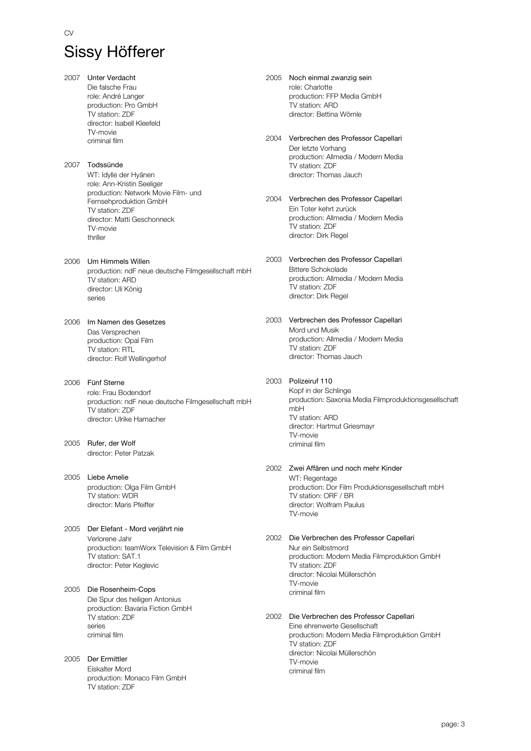2007 Unter Verdacht Die falsche Frau role: André Langer production: Pro GmbH TV station: ZDF director: Isabell Kleefeld TV-movie criminal film 2007 Todssünde WT: Idylle der Hyänen role: Ann-Kristin Seeliger production: Network Movie Film- und Fernsehproduktion GmbH TV station: ZDF director: Matti Geschonneck TV-movie thriller 2006 Um Himmels Willen production: ndF neue deutsche Filmgesellschaft mbH TV station: ARD director: Uli König series 2006 Im Namen des Gesetzes Das Versprechen production: Opal Film TV station: RTL director: Rolf Wellingerhof 2006 Fünf Sterne role: Frau Bodendorf production: ndF neue deutsche Filmgesellschaft mbH TV station: ZDF director: Ulrike Hamacher 2005 Rufer, der Wolf director: Peter Patzak 2005 Liebe Amelie production: Olga Film GmbH TV station: WDR director: Maris Pfeiffer 2005 Der Elefant - Mord verjährt nie Verlorene Jahr production: teamWorx Television & Film GmbH TV station: SAT.1 director: Peter Keglevic 2005 Die Rosenheim-Cops Die Spur des heiligen Antonius production: Bavaria Fiction GmbH TV station: ZDF series criminal film 2005 Der Ermittler Eiskalter Mord production: Monaco Film GmbH TV station: ZDF

2005 Noch einmal zwanzig sein role: Charlotte production: FFP Media GmbH TV station: ARD director: Bettina Wörnle

- 2004 Verbrechen des Professor Capellari Der letzte Vorhang production: Allmedia / Modern Media TV station: ZDF director: Thomas Jauch
- 2004 Verbrechen des Professor Capellari Ein Toter kehrt zurück production: Allmedia / Modern Media TV station: ZDF director: Dirk Regel
- 2003 Verbrechen des Professor Capellari Bittere Schokolade production: Allmedia / Modern Media TV station: ZDF director: Dirk Regel
- 2003 Verbrechen des Professor Capellari Mord und Musik production: Allmedia / Modern Media TV station: ZDF director: Thomas Jauch
- 2003 Polizeiruf 110 Kopf in der Schlinge production: Saxonia Media Filmproduktionsgesellschaft mbH TV station: ARD director: Hartmut Griesmayr TV-movie criminal film
- 2002 Zwei Affären und noch mehr Kinder WT: Regentage production: Dor Film Produktionsgesellschaft mbH TV station: ORF / BR director: Wolfram Paulus TV-movie
- 2002 Die Verbrechen des Professor Capellari Nur ein Selbstmord production: Modern Media Filmproduktion GmbH TV station: ZDF director: Nicolai Müllerschön TV-movie criminal film
- 2002 Die Verbrechen des Professor Capellari Eine ehrenwerte Gesellschaft production: Modern Media Filmproduktion GmbH TV station: ZDF director: Nicolai Müllerschön TV-movie criminal film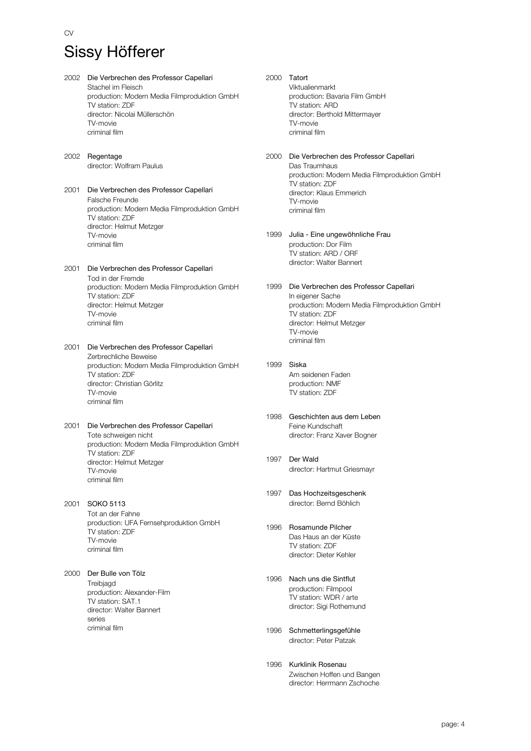CV

- 2002 Die Verbrechen des Professor Capellari Stachel im Fleisch production: Modern Media Filmproduktion GmbH TV station: ZDF director: Nicolai Müllerschön TV-movie criminal film 2002 Regentage director: Wolfram Paulus 2001 Die Verbrechen des Professor Capellari Falsche Freunde production: Modern Media Filmproduktion GmbH TV station: ZDF director: Helmut Metzger TV-movie criminal film 2001 Die Verbrechen des Professor Capellari Tod in der Fremde production: Modern Media Filmproduktion GmbH TV station: ZDF director: Helmut Metzger TV-movie criminal film 2001 Die Verbrechen des Professor Capellari Zerbrechliche Beweise production: Modern Media Filmproduktion GmbH TV station: ZDF director: Christian Görlitz TV-movie criminal film 2001 Die Verbrechen des Professor Capellari Tote schweigen nicht production: Modern Media Filmproduktion GmbH TV station: ZDF director: Helmut Metzger TV-movie criminal film 2001 SOKO 5113 Tot an der Fahne production: UFA Fernsehproduktion GmbH TV station: ZDF TV-movie criminal film 2000 Der Bulle von Tölz **Treibiagd** production: Alexander-Film TV station: SAT.1 director: Walter Bannert series criminal film
- 2000 Tatort Viktualienmarkt production: Bavaria Film GmbH TV station: ARD director: Berthold Mittermayer TV-movie criminal film
- 2000 Die Verbrechen des Professor Capellari Das Traumhaus production: Modern Media Filmproduktion GmbH TV station: ZDF director: Klaus Emmerich TV-movie criminal film
- 1999 Julia Eine ungewöhnliche Frau production: Dor Film TV station: ARD / ORF director: Walter Bannert
- 1999 Die Verbrechen des Professor Capellari In eigener Sache production: Modern Media Filmproduktion GmbH TV station: ZDF director: Helmut Metzger TV-movie criminal film
- 1999 Siska Am seidenen Faden production: NMF TV station: ZDF
- 1998 Geschichten aus dem Leben Feine Kundschaft director: Franz Xaver Bogner
- 1997 Der Wald director: Hartmut Griesmayr
- 1997 Das Hochzeitsgeschenk director: Bernd Böhlich
- 1996 Rosamunde Pilcher Das Haus an der Küste TV station: ZDF director: Dieter Kehler
- 1996 Nach uns die Sintflut production: Filmpool TV station: WDR / arte director: Sigi Rothemund
- 1996 Schmetterlingsgefühle director: Peter Patzak
- 1996 Kurklinik Rosenau Zwischen Hoffen und Bangen director: Herrmann Zschoche